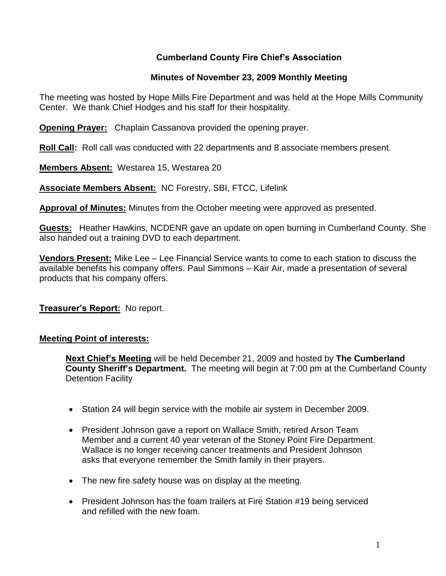## **Cumberland County Fire Chief's Association**

## **Minutes of November 23, 2009 Monthly Meeting**

The meeting was hosted by Hope Mills Fire Department and was held at the Hope Mills Community Center. We thank Chief Hodges and his staff for their hospitality.

**Opening Prayer:** Chaplain Cassanova provided the opening prayer.

**Roll Call:** Roll call was conducted with 22 departments and 8 associate members present.

**Members Absent:** Westarea 15, Westarea 20

**Associate Members Absent:** NC Forestry, SBI, FTCC, Lifelink

**Approval of Minutes:** Minutes from the October meeting were approved as presented.

**Guests:** Heather Hawkins, NCDENR gave an update on open burning in Cumberland County. She also handed out a training DVD to each department.

**Vendors Present:** Mike Lee – Lee Financial Service wants to come to each station to discuss the available benefits his company offers. Paul Simmons – Kair Air, made a presentation of several products that his company offers.

## **Treasurer's Report:** No report.

### **Meeting Point of interests:**

**Next Chief's Meeting** will be held December 21, 2009 and hosted by **The Cumberland County Sheriff's Department.** The meeting will begin at 7:00 pm at the Cumberland County Detention Facility

- Station 24 will begin service with the mobile air system in December 2009.
- President Johnson gave a report on Wallace Smith, retired Arson Team Member and a current 40 year veteran of the Stoney Point Fire Department. Wallace is no longer receiving cancer treatments and President Johnson asks that everyone remember the Smith family in their prayers.
- The new fire safety house was on display at the meeting.
- President Johnson has the foam trailers at Fire Station #19 being serviced and refilled with the new foam.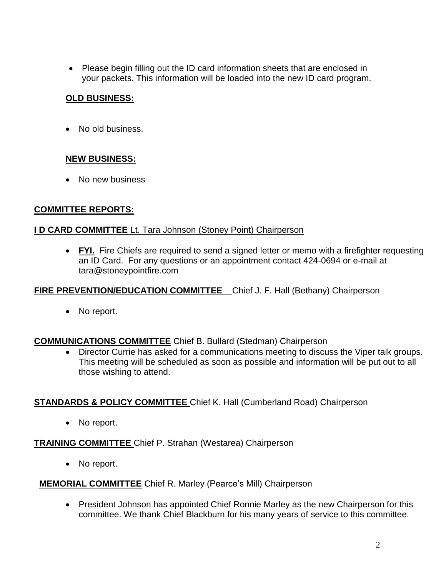Please begin filling out the ID card information sheets that are enclosed in your packets. This information will be loaded into the new ID card program.

# **OLD BUSINESS:**

• No old business.

# **NEW BUSINESS:**

• No new business

## **COMMITTEE REPORTS:**

### **I D CARD COMMITTEE** Lt. Tara Johnson (Stoney Point) Chairperson

 **FYI.** Fire Chiefs are required to send a signed letter or memo with a firefighter requesting an ID Card. For any questions or an appointment contact 424-0694 or e-mail at [tara@stoneypointfire.com](mailto:tara@stoneypointfire.com)

## **FIRE PREVENTION/EDUCATION COMMITTEE** Chief J. F. Hall (Bethany) Chairperson

• No report.

## **COMMUNICATIONS COMMITTEE** Chief B. Bullard (Stedman) Chairperson

 Director Currie has asked for a communications meeting to discuss the Viper talk groups. This meeting will be scheduled as soon as possible and information will be put out to all those wishing to attend.

## **STANDARDS & POLICY COMMITTEE** Chief K. Hall (Cumberland Road) Chairperson

• No report.

## **TRAINING COMMITTEE** Chief P. Strahan (Westarea) Chairperson

• No report.

### **MEMORIAL COMMITTEE** Chief R. Marley (Pearce's Mill) Chairperson

• President Johnson has appointed Chief Ronnie Marley as the new Chairperson for this committee. We thank Chief Blackburn for his many years of service to this committee.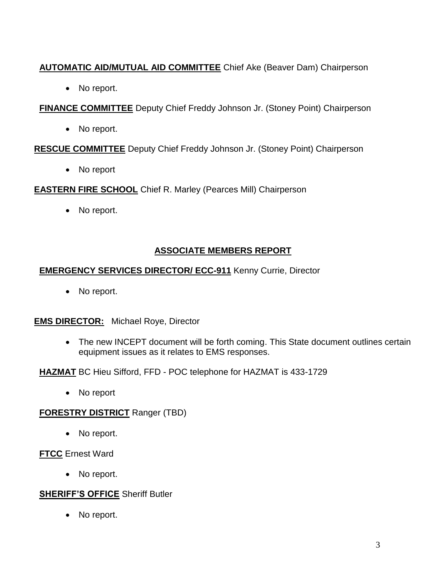# **AUTOMATIC AID/MUTUAL AID COMMITTEE** Chief Ake (Beaver Dam) Chairperson

• No report.

**FINANCE COMMITTEE** Deputy Chief Freddy Johnson Jr. (Stoney Point) Chairperson

• No report.

**RESCUE COMMITTEE** Deputy Chief Freddy Johnson Jr. (Stoney Point) Chairperson

No report

**EASTERN FIRE SCHOOL** Chief R. Marley (Pearces Mill) Chairperson

• No report.

## **ASSOCIATE MEMBERS REPORT**

### **EMERGENCY SERVICES DIRECTOR/ ECC-911** Kenny Currie, Director

• No report.

### **EMS DIRECTOR:** Michael Roye, Director

• The new INCEPT document will be forth coming. This State document outlines certain equipment issues as it relates to EMS responses.

**HAZMAT** BC Hieu Sifford, FFD - POC telephone for HAZMAT is 433-1729

• No report

## **FORESTRY DISTRICT** Ranger (TBD)

• No report.

## **FTCC** Ernest Ward

• No report.

## **SHERIFF'S OFFICE** Sheriff Butler

• No report.